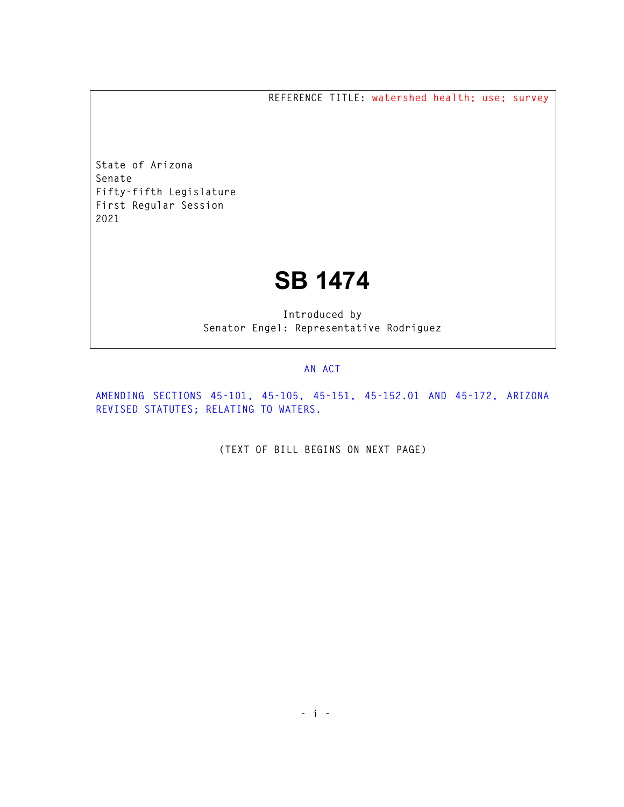**REFERENCE TITLE: watershed health; use; survey** 

**State of Arizona Senate Fifty-fifth Legislature First Regular Session 2021** 

## **SB 1474**

**Introduced by Senator Engel: Representative Rodriguez** 

## **AN ACT**

**AMENDING SECTIONS 45-101, 45-105, 45-151, 45-152.01 AND 45-172, ARIZONA REVISED STATUTES; RELATING TO WATERS.** 

**(TEXT OF BILL BEGINS ON NEXT PAGE)**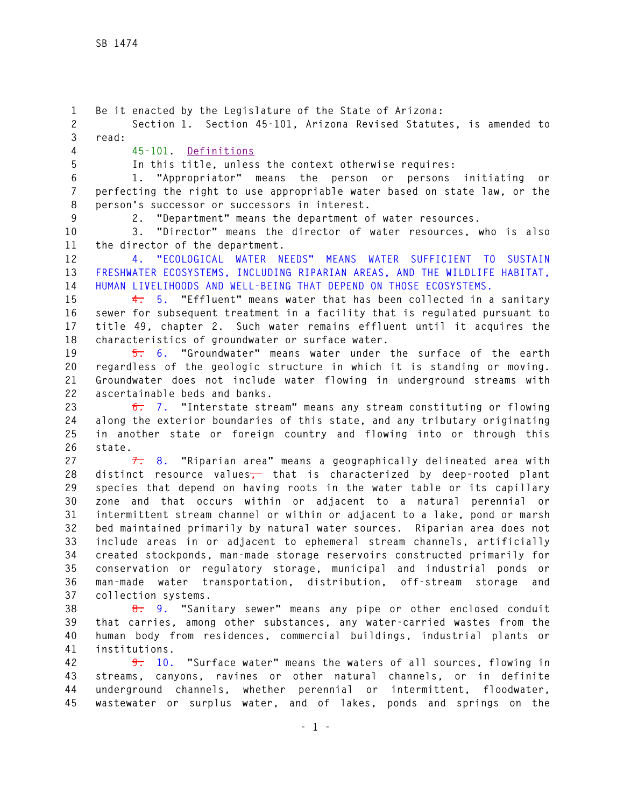**1 Be it enacted by the Legislature of the State of Arizona: 2 Section 1. Section 45-101, Arizona Revised Statutes, is amended to 3 read: 4 45-101. Definitions 5 In this title, unless the context otherwise requires: 6 1. "Appropriator" means the person or persons initiating or 7 perfecting the right to use appropriable water based on state law, or the 8 person's successor or successors in interest. 9 2. "Department" means the department of water resources. 10 3. "Director" means the director of water resources, who is also 11 the director of the department. 12 4. "ECOLOGICAL WATER NEEDS" MEANS WATER SUFFICIENT TO SUSTAIN 13 FRESHWATER ECOSYSTEMS, INCLUDING RIPARIAN AREAS, AND THE WILDLIFE HABITAT, 14 HUMAN LIVELIHOODS AND WELL-BEING THAT DEPEND ON THOSE ECOSYSTEMS. 15 4. 5. "Effluent" means water that has been collected in a sanitary 16 sewer for subsequent treatment in a facility that is regulated pursuant to 17 title 49, chapter 2. Such water remains effluent until it acquires the 18 characteristics of groundwater or surface water. 19 5. 6. "Groundwater" means water under the surface of the earth 20 regardless of the geologic structure in which it is standing or moving. 21 Groundwater does not include water flowing in underground streams with 22 ascertainable beds and banks. 23 6. 7. "Interstate stream" means any stream constituting or flowing 24 along the exterior boundaries of this state, and any tributary originating 25 in another state or foreign country and flowing into or through this 26 state. 27 7. 8. "Riparian area" means a geographically delineated area with 28 distinct resource values, that is characterized by deep-rooted plant 29 species that depend on having roots in the water table or its capillary 30 zone and that occurs within or adjacent to a natural perennial or 31 intermittent stream channel or within or adjacent to a lake, pond or marsh 32 bed maintained primarily by natural water sources. Riparian area does not 33 include areas in or adjacent to ephemeral stream channels, artificially 34 created stockponds, man-made storage reservoirs constructed primarily for 35 conservation or regulatory storage, municipal and industrial ponds or 36 man-made water transportation, distribution, off-stream storage and 37 collection systems. 38 8. 9. "Sanitary sewer" means any pipe or other enclosed conduit 39 that carries, among other substances, any water-carried wastes from the 40 human body from residences, commercial buildings, industrial plants or 41 institutions. 42 9. 10. "Surface water" means the waters of all sources, flowing in 43 streams, canyons, ravines or other natural channels, or in definite 44 underground channels, whether perennial or intermittent, floodwater, 45 wastewater or surplus water, and of lakes, ponds and springs on the**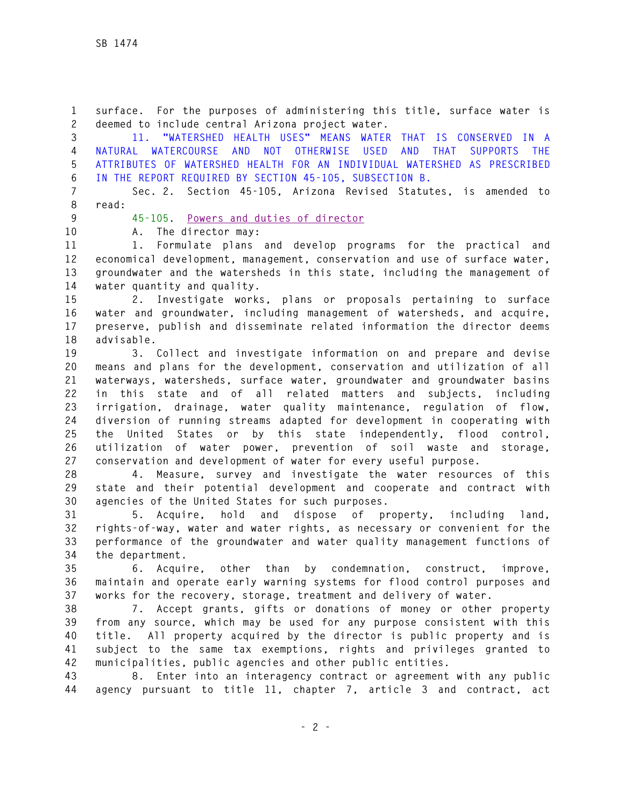**1 surface. For the purposes of administering this title, surface water is 2 deemed to include central Arizona project water.** 

**3 11. "WATERSHED HEALTH USES" MEANS WATER THAT IS CONSERVED IN A 4 NATURAL WATERCOURSE AND NOT OTHERWISE USED AND THAT SUPPORTS THE 5 ATTRIBUTES OF WATERSHED HEALTH FOR AN INDIVIDUAL WATERSHED AS PRESCRIBED 6 IN THE REPORT REQUIRED BY SECTION 45-105, SUBSECTION B.** 

**7 Sec. 2. Section 45-105, Arizona Revised Statutes, is amended to 8 read:** 

**9 45-105. Powers and duties of director**

**10 A. The director may:** 

**11 1. Formulate plans and develop programs for the practical and 12 economical development, management, conservation and use of surface water, 13 groundwater and the watersheds in this state, including the management of 14 water quantity and quality.** 

**15 2. Investigate works, plans or proposals pertaining to surface 16 water and groundwater, including management of watersheds, and acquire, 17 preserve, publish and disseminate related information the director deems 18 advisable.** 

**19 3. Collect and investigate information on and prepare and devise 20 means and plans for the development, conservation and utilization of all 21 waterways, watersheds, surface water, groundwater and groundwater basins 22 in this state and of all related matters and subjects, including 23 irrigation, drainage, water quality maintenance, regulation of flow, 24 diversion of running streams adapted for development in cooperating with 25 the United States or by this state independently, flood control, 26 utilization of water power, prevention of soil waste and storage, 27 conservation and development of water for every useful purpose.** 

**28 4. Measure, survey and investigate the water resources of this 29 state and their potential development and cooperate and contract with 30 agencies of the United States for such purposes.** 

**31 5. Acquire, hold and dispose of property, including land, 32 rights-of-way, water and water rights, as necessary or convenient for the 33 performance of the groundwater and water quality management functions of 34 the department.** 

**35 6. Acquire, other than by condemnation, construct, improve, 36 maintain and operate early warning systems for flood control purposes and 37 works for the recovery, storage, treatment and delivery of water.** 

**38 7. Accept grants, gifts or donations of money or other property 39 from any source, which may be used for any purpose consistent with this 40 title. All property acquired by the director is public property and is 41 subject to the same tax exemptions, rights and privileges granted to 42 municipalities, public agencies and other public entities.** 

**43 8. Enter into an interagency contract or agreement with any public 44 agency pursuant to title 11, chapter 7, article 3 and contract, act**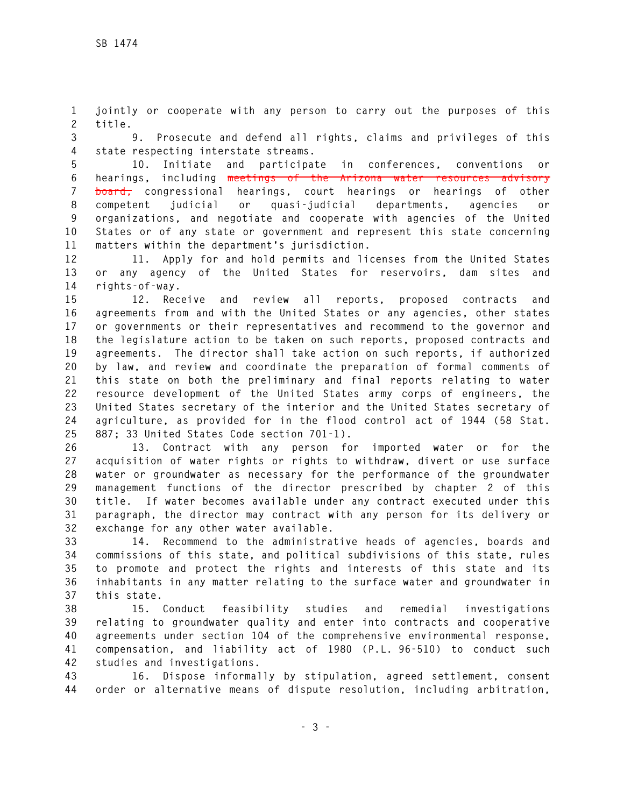**1 jointly or cooperate with any person to carry out the purposes of this 2 title.** 

**3 9. Prosecute and defend all rights, claims and privileges of this 4 state respecting interstate streams.** 

**5 10. Initiate and participate in conferences, conventions or 6 hearings, including meetings of the Arizona water resources advisory 7 board, congressional hearings, court hearings or hearings of other 8 competent judicial or quasi-judicial departments, agencies or 9 organizations, and negotiate and cooperate with agencies of the United 10 States or of any state or government and represent this state concerning 11 matters within the department's jurisdiction.** 

**12 11. Apply for and hold permits and licenses from the United States 13 or any agency of the United States for reservoirs, dam sites and 14 rights-of-way.** 

**15 12. Receive and review all reports, proposed contracts and 16 agreements from and with the United States or any agencies, other states 17 or governments or their representatives and recommend to the governor and 18 the legislature action to be taken on such reports, proposed contracts and 19 agreements. The director shall take action on such reports, if authorized 20 by law, and review and coordinate the preparation of formal comments of 21 this state on both the preliminary and final reports relating to water 22 resource development of the United States army corps of engineers, the 23 United States secretary of the interior and the United States secretary of 24 agriculture, as provided for in the flood control act of 1944 (58 Stat. 25 887; 33 United States Code section 701-1).** 

**26 13. Contract with any person for imported water or for the 27 acquisition of water rights or rights to withdraw, divert or use surface 28 water or groundwater as necessary for the performance of the groundwater 29 management functions of the director prescribed by chapter 2 of this 30 title. If water becomes available under any contract executed under this 31 paragraph, the director may contract with any person for its delivery or 32 exchange for any other water available.** 

**33 14. Recommend to the administrative heads of agencies, boards and 34 commissions of this state, and political subdivisions of this state, rules 35 to promote and protect the rights and interests of this state and its 36 inhabitants in any matter relating to the surface water and groundwater in 37 this state.** 

**38 15. Conduct feasibility studies and remedial investigations 39 relating to groundwater quality and enter into contracts and cooperative 40 agreements under section 104 of the comprehensive environmental response, 41 compensation, and liability act of 1980 (P.L. 96-510) to conduct such 42 studies and investigations.** 

**43 16. Dispose informally by stipulation, agreed settlement, consent 44 order or alternative means of dispute resolution, including arbitration,**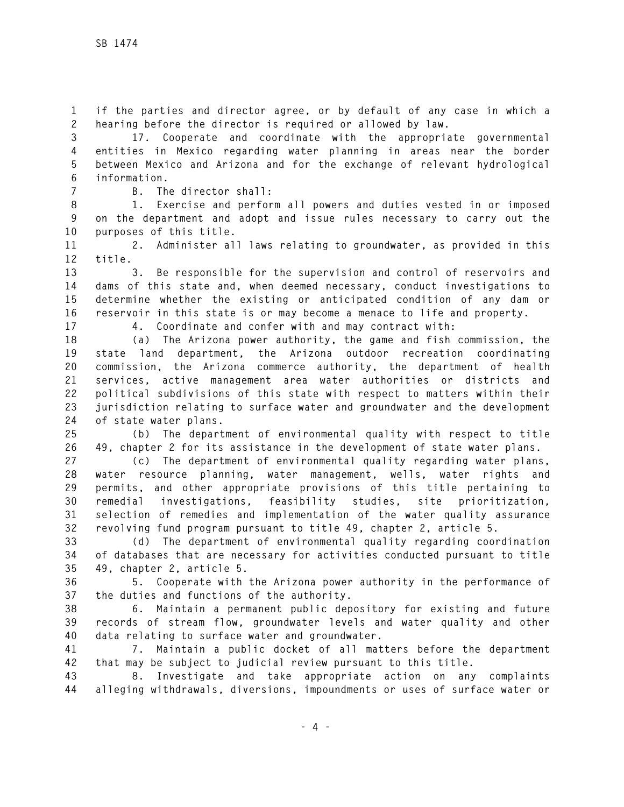**1 if the parties and director agree, or by default of any case in which a 2 hearing before the director is required or allowed by law.** 

**3 17. Cooperate and coordinate with the appropriate governmental 4 entities in Mexico regarding water planning in areas near the border 5 between Mexico and Arizona and for the exchange of relevant hydrological 6 information.** 

**7 B. The director shall:** 

**8 1. Exercise and perform all powers and duties vested in or imposed 9 on the department and adopt and issue rules necessary to carry out the 10 purposes of this title.** 

**11 2. Administer all laws relating to groundwater, as provided in this 12 title.** 

**13 3. Be responsible for the supervision and control of reservoirs and 14 dams of this state and, when deemed necessary, conduct investigations to 15 determine whether the existing or anticipated condition of any dam or 16 reservoir in this state is or may become a menace to life and property.** 

**17 4. Coordinate and confer with and may contract with:** 

**18 (a) The Arizona power authority, the game and fish commission, the 19 state land department, the Arizona outdoor recreation coordinating 20 commission, the Arizona commerce authority, the department of health 21 services, active management area water authorities or districts and 22 political subdivisions of this state with respect to matters within their 23 jurisdiction relating to surface water and groundwater and the development 24 of state water plans.** 

**25 (b) The department of environmental quality with respect to title 26 49, chapter 2 for its assistance in the development of state water plans.** 

**27 (c) The department of environmental quality regarding water plans, 28 water resource planning, water management, wells, water rights and 29 permits, and other appropriate provisions of this title pertaining to 30 remedial investigations, feasibility studies, site prioritization, 31 selection of remedies and implementation of the water quality assurance 32 revolving fund program pursuant to title 49, chapter 2, article 5.** 

**33 (d) The department of environmental quality regarding coordination 34 of databases that are necessary for activities conducted pursuant to title 35 49, chapter 2, article 5.** 

**36 5. Cooperate with the Arizona power authority in the performance of 37 the duties and functions of the authority.** 

**38 6. Maintain a permanent public depository for existing and future 39 records of stream flow, groundwater levels and water quality and other 40 data relating to surface water and groundwater.** 

**41 7. Maintain a public docket of all matters before the department 42 that may be subject to judicial review pursuant to this title.** 

**43 8. Investigate and take appropriate action on any complaints 44 alleging withdrawals, diversions, impoundments or uses of surface water or**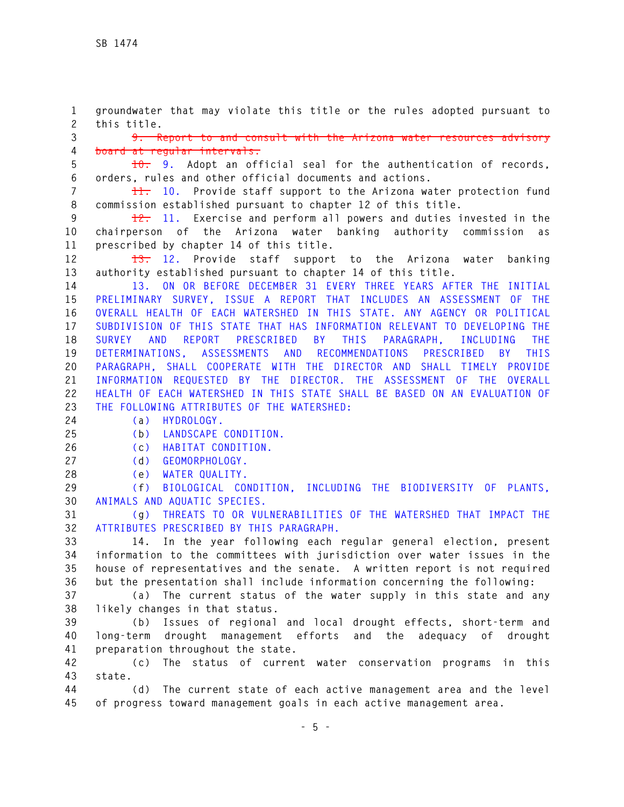**1 groundwater that may violate this title or the rules adopted pursuant to 2 this title.** 

**3 9. Report to and consult with the Arizona water resources advisory 4 board at regular intervals.** 

**5 10. 9. Adopt an official seal for the authentication of records, 6 orders, rules and other official documents and actions.** 

**7 11. 10. Provide staff support to the Arizona water protection fund 8 commission established pursuant to chapter 12 of this title.** 

**9 12. 11. Exercise and perform all powers and duties invested in the 10 chairperson of the Arizona water banking authority commission as 11 prescribed by chapter 14 of this title.** 

**12 13. 12. Provide staff support to the Arizona water banking 13 authority established pursuant to chapter 14 of this title.** 

**14 13. ON OR BEFORE DECEMBER 31 EVERY THREE YEARS AFTER THE INITIAL 15 PRELIMINARY SURVEY, ISSUE A REPORT THAT INCLUDES AN ASSESSMENT OF THE 16 OVERALL HEALTH OF EACH WATERSHED IN THIS STATE. ANY AGENCY OR POLITICAL 17 SUBDIVISION OF THIS STATE THAT HAS INFORMATION RELEVANT TO DEVELOPING THE 18 SURVEY AND REPORT PRESCRIBED BY THIS PARAGRAPH, INCLUDING THE 19 DETERMINATIONS, ASSESSMENTS AND RECOMMENDATIONS PRESCRIBED BY THIS 20 PARAGRAPH, SHALL COOPERATE WITH THE DIRECTOR AND SHALL TIMELY PROVIDE 21 INFORMATION REQUESTED BY THE DIRECTOR. THE ASSESSMENT OF THE OVERALL 22 HEALTH OF EACH WATERSHED IN THIS STATE SHALL BE BASED ON AN EVALUATION OF 23 THE FOLLOWING ATTRIBUTES OF THE WATERSHED:** 

**24 (a) HYDROLOGY.** 

**25 (b) LANDSCAPE CONDITION.** 

**26 (c) HABITAT CONDITION.** 

- **27 (d) GEOMORPHOLOGY.**
- **28 (e) WATER QUALITY.**

**29 (f) BIOLOGICAL CONDITION, INCLUDING THE BIODIVERSITY OF PLANTS, 30 ANIMALS AND AQUATIC SPECIES.** 

**31 (g) THREATS TO OR VULNERABILITIES OF THE WATERSHED THAT IMPACT THE 32 ATTRIBUTES PRESCRIBED BY THIS PARAGRAPH.** 

**33 14. In the year following each regular general election, present 34 information to the committees with jurisdiction over water issues in the 35 house of representatives and the senate. A written report is not required 36 but the presentation shall include information concerning the following:** 

**37 (a) The current status of the water supply in this state and any 38 likely changes in that status.** 

**39 (b) Issues of regional and local drought effects, short-term and 40 long-term drought management efforts and the adequacy of drought 41 preparation throughout the state.** 

**42 (c) The status of current water conservation programs in this 43 state.** 

**44 (d) The current state of each active management area and the level 45 of progress toward management goals in each active management area.**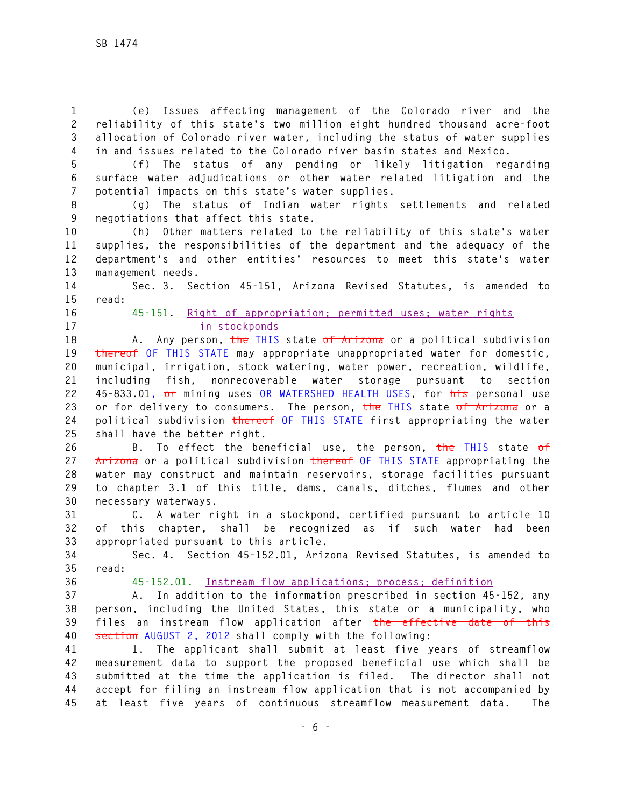**1 (e) Issues affecting management of the Colorado river and the 2 reliability of this state's two million eight hundred thousand acre-foot 3 allocation of Colorado river water, including the status of water supplies 4 in and issues related to the Colorado river basin states and Mexico.** 

**5 (f) The status of any pending or likely litigation regarding 6 surface water adjudications or other water related litigation and the 7 potential impacts on this state's water supplies.** 

**8 (g) The status of Indian water rights settlements and related 9 negotiations that affect this state.** 

**10 (h) Other matters related to the reliability of this state's water 11 supplies, the responsibilities of the department and the adequacy of the 12 department's and other entities' resources to meet this state's water 13 management needs.** 

**14 Sec. 3. Section 45-151, Arizona Revised Statutes, is amended to 15 read:** 

## **16 45-151. Right of appropriation; permitted uses; water rights 17 in stockponds**

**18 A. Any person, the THIS state of Arizona or a political subdivision 19 thereof OF THIS STATE may appropriate unappropriated water for domestic, 20 municipal, irrigation, stock watering, water power, recreation, wildlife, 21 including fish, nonrecoverable water storage pursuant to section 22 45-833.01, or mining uses OR WATERSHED HEALTH USES, for his personal use 23 or for delivery to consumers. The person, the THIS state of Arizona or a 24 political subdivision thereof OF THIS STATE first appropriating the water 25 shall have the better right.** 

**26 B. To effect the beneficial use, the person, the THIS state of 27 Arizona or a political subdivision thereof OF THIS STATE appropriating the 28 water may construct and maintain reservoirs, storage facilities pursuant 29 to chapter 3.1 of this title, dams, canals, ditches, flumes and other 30 necessary waterways.** 

**31 C. A water right in a stockpond, certified pursuant to article 10 32 of this chapter, shall be recognized as if such water had been 33 appropriated pursuant to this article.** 

**34 Sec. 4. Section 45-152.01, Arizona Revised Statutes, is amended to 35 read:** 

**36 45-152.01. Instream flow applications; process; definition**

**37 A. In addition to the information prescribed in section 45-152, any 38 person, including the United States, this state or a municipality, who 39 files an instream flow application after the effective date of this 40 section AUGUST 2, 2012 shall comply with the following:** 

**41 1. The applicant shall submit at least five years of streamflow 42 measurement data to support the proposed beneficial use which shall be 43 submitted at the time the application is filed. The director shall not 44 accept for filing an instream flow application that is not accompanied by 45 at least five years of continuous streamflow measurement data. The**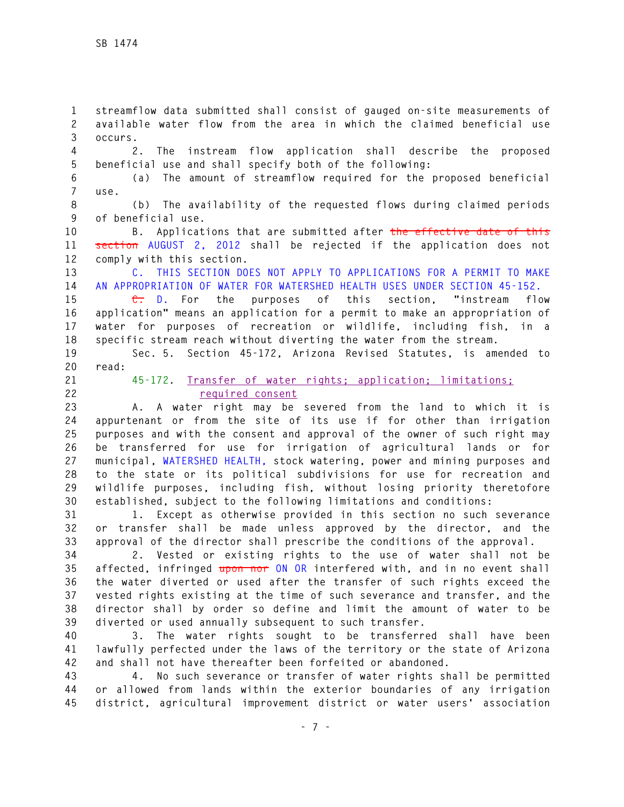**1 streamflow data submitted shall consist of gauged on-site measurements of 2 available water flow from the area in which the claimed beneficial use 3 occurs.** 

**4 2. The instream flow application shall describe the proposed 5 beneficial use and shall specify both of the following:** 

**6 (a) The amount of streamflow required for the proposed beneficial 7 use.** 

**8 (b) The availability of the requested flows during claimed periods 9 of beneficial use.** 

**10 B. Applications that are submitted after the effective date of this 11 section AUGUST 2, 2012 shall be rejected if the application does not 12 comply with this section.** 

**13 C. THIS SECTION DOES NOT APPLY TO APPLICATIONS FOR A PERMIT TO MAKE 14 AN APPROPRIATION OF WATER FOR WATERSHED HEALTH USES UNDER SECTION 45-152.** 

**15 C. D. For the purposes of this section, "instream flow 16 application" means an application for a permit to make an appropriation of 17 water for purposes of recreation or wildlife, including fish, in a 18 specific stream reach without diverting the water from the stream.** 

**19 Sec. 5. Section 45-172, Arizona Revised Statutes, is amended to 20 read:** 

**21 45-172. Transfer of water rights; application; limitations; 22 required consent**

**23 A. A water right may be severed from the land to which it is 24 appurtenant or from the site of its use if for other than irrigation 25 purposes and with the consent and approval of the owner of such right may 26 be transferred for use for irrigation of agricultural lands or for 27 municipal, WATERSHED HEALTH, stock watering, power and mining purposes and 28 to the state or its political subdivisions for use for recreation and 29 wildlife purposes, including fish, without losing priority theretofore 30 established, subject to the following limitations and conditions:** 

**31 1. Except as otherwise provided in this section no such severance 32 or transfer shall be made unless approved by the director, and the 33 approval of the director shall prescribe the conditions of the approval.** 

**34 2. Vested or existing rights to the use of water shall not be 35 affected, infringed upon nor ON OR interfered with, and in no event shall 36 the water diverted or used after the transfer of such rights exceed the 37 vested rights existing at the time of such severance and transfer, and the 38 director shall by order so define and limit the amount of water to be 39 diverted or used annually subsequent to such transfer.** 

**40 3. The water rights sought to be transferred shall have been 41 lawfully perfected under the laws of the territory or the state of Arizona 42 and shall not have thereafter been forfeited or abandoned.** 

**43 4. No such severance or transfer of water rights shall be permitted 44 or allowed from lands within the exterior boundaries of any irrigation 45 district, agricultural improvement district or water users' association**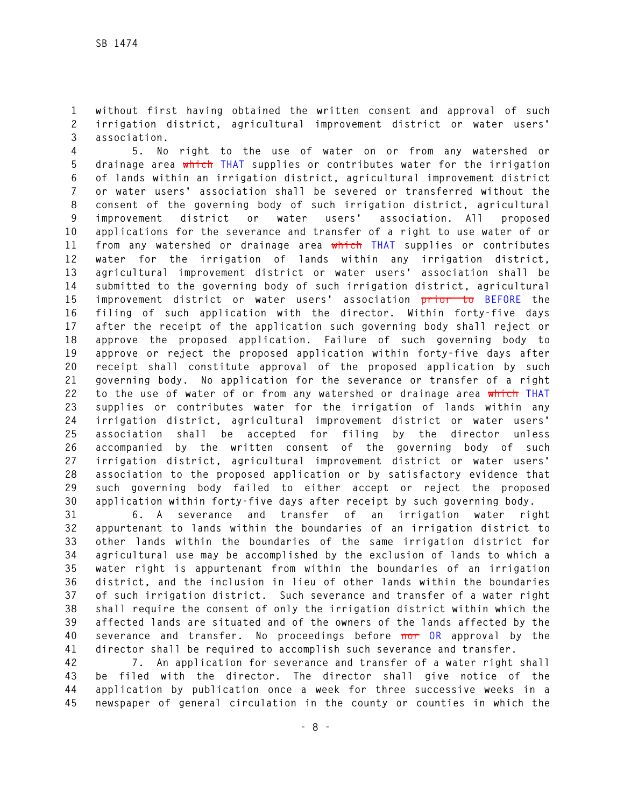**1 without first having obtained the written consent and approval of such 2 irrigation district, agricultural improvement district or water users' 3 association.** 

**4 5. No right to the use of water on or from any watershed or 5 drainage area which THAT supplies or contributes water for the irrigation 6 of lands within an irrigation district, agricultural improvement district 7 or water users' association shall be severed or transferred without the 8 consent of the governing body of such irrigation district, agricultural 9 improvement district or water users' association. All proposed 10 applications for the severance and transfer of a right to use water of or 11 from any watershed or drainage area which THAT supplies or contributes 12 water for the irrigation of lands within any irrigation district, 13 agricultural improvement district or water users' association shall be 14 submitted to the governing body of such irrigation district, agricultural 15 improvement district or water users' association prior to BEFORE the 16 filing of such application with the director. Within forty-five days 17 after the receipt of the application such governing body shall reject or 18 approve the proposed application. Failure of such governing body to 19 approve or reject the proposed application within forty-five days after 20 receipt shall constitute approval of the proposed application by such 21 governing body. No application for the severance or transfer of a right 22 to the use of water of or from any watershed or drainage area which THAT 23 supplies or contributes water for the irrigation of lands within any 24 irrigation district, agricultural improvement district or water users' 25 association shall be accepted for filing by the director unless 26 accompanied by the written consent of the governing body of such 27 irrigation district, agricultural improvement district or water users' 28 association to the proposed application or by satisfactory evidence that 29 such governing body failed to either accept or reject the proposed 30 application within forty-five days after receipt by such governing body.** 

**31 6. A severance and transfer of an irrigation water right 32 appurtenant to lands within the boundaries of an irrigation district to 33 other lands within the boundaries of the same irrigation district for 34 agricultural use may be accomplished by the exclusion of lands to which a 35 water right is appurtenant from within the boundaries of an irrigation 36 district, and the inclusion in lieu of other lands within the boundaries 37 of such irrigation district. Such severance and transfer of a water right 38 shall require the consent of only the irrigation district within which the 39 affected lands are situated and of the owners of the lands affected by the 40 severance and transfer. No proceedings before nor OR approval by the 41 director shall be required to accomplish such severance and transfer.** 

**42 7. An application for severance and transfer of a water right shall 43 be filed with the director. The director shall give notice of the 44 application by publication once a week for three successive weeks in a 45 newspaper of general circulation in the county or counties in which the**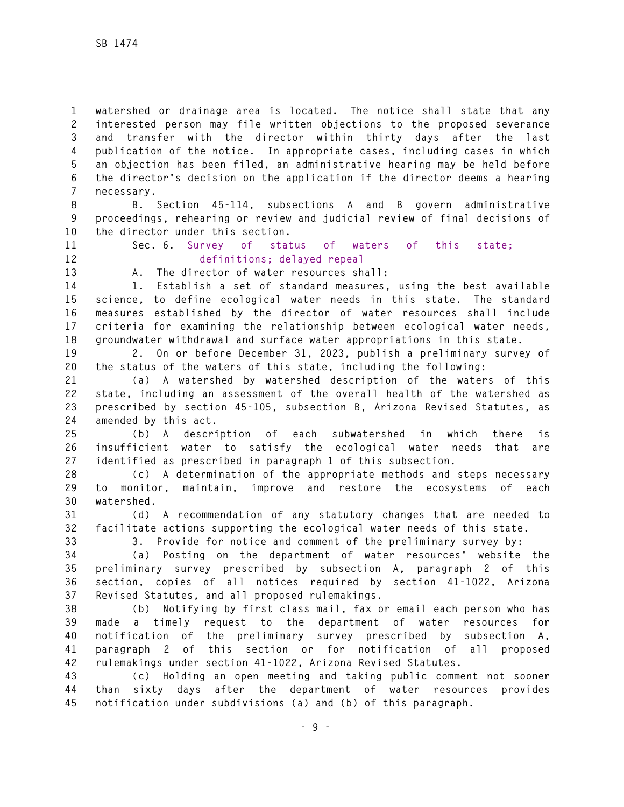**1 watershed or drainage area is located. The notice shall state that any 2 interested person may file written objections to the proposed severance 3 and transfer with the director within thirty days after the last 4 publication of the notice. In appropriate cases, including cases in which 5 an objection has been filed, an administrative hearing may be held before 6 the director's decision on the application if the director deems a hearing 7 necessary.** 

**8 B. Section 45-114, subsections A and B govern administrative 9 proceedings, rehearing or review and judicial review of final decisions of 10 the director under this section.** 

**11 Sec. 6. Survey of status of waters of this state; 12 definitions; delayed repeal**

**13 A. The director of water resources shall:** 

**14 1. Establish a set of standard measures, using the best available 15 science, to define ecological water needs in this state. The standard 16 measures established by the director of water resources shall include 17 criteria for examining the relationship between ecological water needs, 18 groundwater withdrawal and surface water appropriations in this state.** 

**19 2. On or before December 31, 2023, publish a preliminary survey of 20 the status of the waters of this state, including the following:** 

**21 (a) A watershed by watershed description of the waters of this 22 state, including an assessment of the overall health of the watershed as 23 prescribed by section 45-105, subsection B, Arizona Revised Statutes, as 24 amended by this act.** 

**25 (b) A description of each subwatershed in which there is 26 insufficient water to satisfy the ecological water needs that are 27 identified as prescribed in paragraph 1 of this subsection.** 

**28 (c) A determination of the appropriate methods and steps necessary 29 to monitor, maintain, improve and restore the ecosystems of each 30 watershed.** 

**31 (d) A recommendation of any statutory changes that are needed to 32 facilitate actions supporting the ecological water needs of this state.** 

**33 3. Provide for notice and comment of the preliminary survey by:** 

**34 (a) Posting on the department of water resources' website the 35 preliminary survey prescribed by subsection A, paragraph 2 of this 36 section, copies of all notices required by section 41-1022, Arizona 37 Revised Statutes, and all proposed rulemakings.** 

**38 (b) Notifying by first class mail, fax or email each person who has 39 made a timely request to the department of water resources for 40 notification of the preliminary survey prescribed by subsection A, 41 paragraph 2 of this section or for notification of all proposed 42 rulemakings under section 41-1022, Arizona Revised Statutes.** 

**43 (c) Holding an open meeting and taking public comment not sooner 44 than sixty days after the department of water resources provides 45 notification under subdivisions (a) and (b) of this paragraph.**